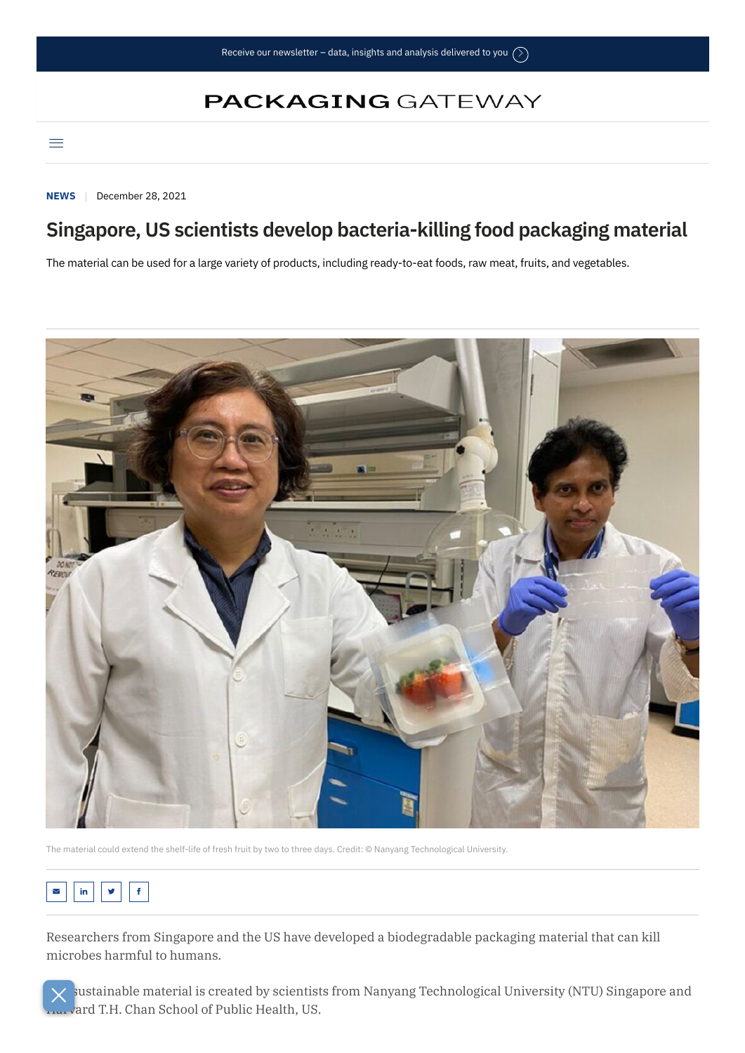## **PACKAGING GATEWAY**

 $\equiv$ 

**[NEWS](https://www.packaging-gateway.com/news/)** December 28, 2021

## **Singapore, US scientists develop bacteria-killing food packaging material**

The material can be used for a large variety of products, including ready-to-eat foods, raw meat, fruits, and vegetables.



The material could extend the shelf-life of fresh fruit by two to three days. Credit: © Nanyang Technological University.

## $\mathsf{in}$   $\mathsf{y}$   $\mathsf{f}$

Researchers from Singapore and the US have developed a biodegradable packaging material that can kill microbes harmful to humans.

sustainable material is created by scientists from Nanyang Technological University (NTU) Singapore and ard T.H. Chan School of Public Health, US.